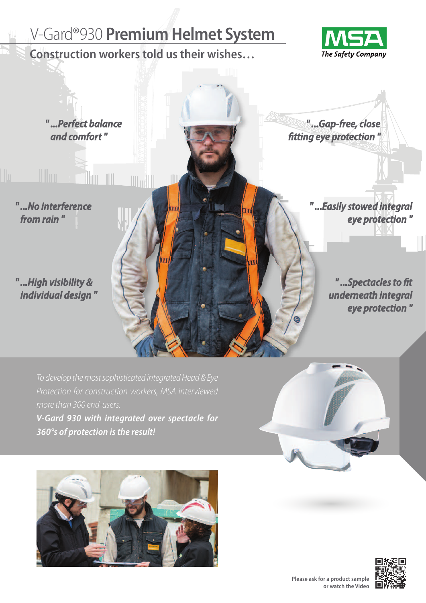## V-Gard®930 **PremiumHelmet System**

## **Construction workerstold ustheir wishes…**





*To develop themostsophisticated integratedHead & Eye more than* 300 *end-users.* **V-Gard 930 with integrated over spectacle for 360°s of protection isthe result!**